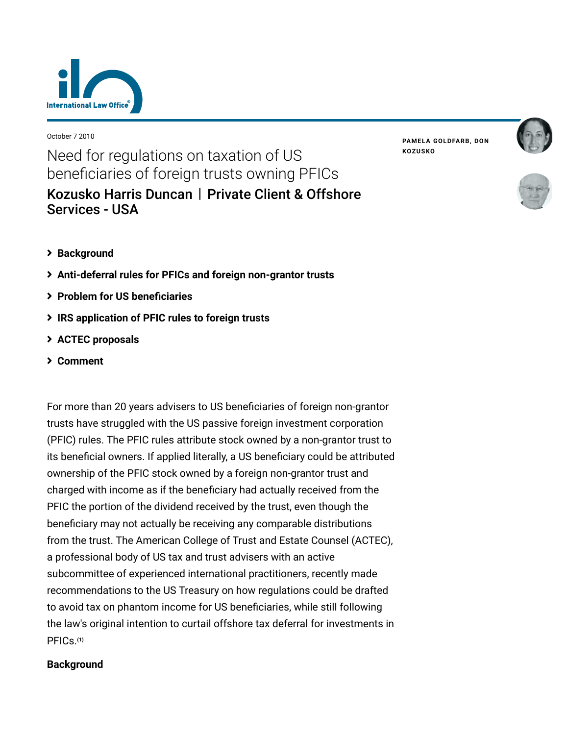

October 7 2010

Need for regulations on taxation of US beneficiaries of foreign trusts owning PFICs [Kozusko Harris Duncan](https://www.lexology.com/contributors/23364) | Private Client & Offshore Services - USA

**PAMELA [GOLDFARB](https://www.lexology.com/23364/author/Pamela_Goldfarb/)[,](https://www.lexology.com/23364/author/Don_Kozusko/) DON KOZUSKO**





- **[Background](#page-0-0)**
- **[Anti-deferral rules for PFICs and foreign non-grantor trusts](#page-1-0)**
- **[Problem for US beneficiaries](#page-3-0)**
- **[IRS application of PFIC rules to foreign trusts](#page-4-0)**
- **[ACTEC proposals](#page-4-1)**
- **[Comment](#page-5-0)**

For more than 20 years advisers to US beneficiaries of foreign non-grantor trusts have struggled with the US passive foreign investment corporation (PFIC) rules. The PFIC rules attribute stock owned by a non-grantor trust to its beneficial owners. If applied literally, a US beneficiary could be attributed ownership of the PFIC stock owned by a foreign non-grantor trust and charged with income as if the beneficiary had actually received from the PFIC the portion of the dividend received by the trust, even though the beneficiary may not actually be receiving any comparable distributions from the trust. The American College of Trust and Estate Counsel (ACTEC), a professional body of US tax and trust advisers with an active subcommittee of experienced international practitioners, recently made recommendations to the US Treasury on how regulations could be drafted to avoid tax on phantom income for US beneficiaries, while still following the law's original intention to curtail offshore tax deferral for investments in PFICs.**[\(1\)](#page-6-0)**

# <span id="page-0-0"></span>**Background**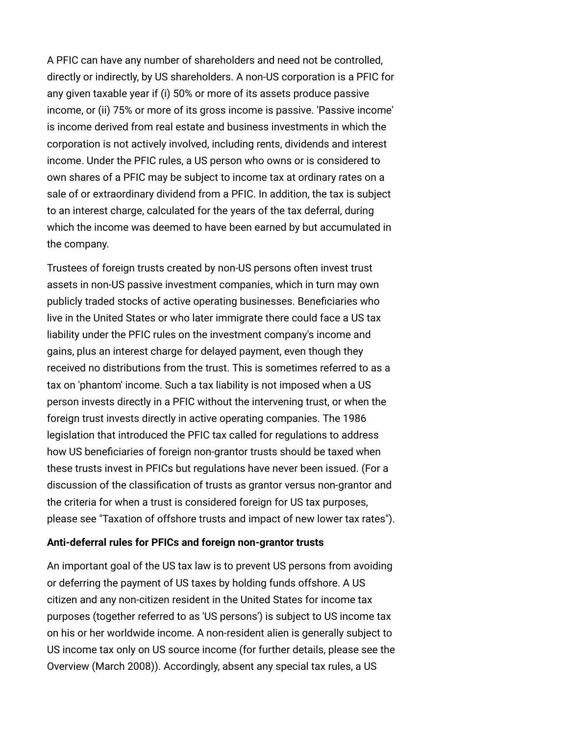A PFIC can have any number of shareholders and need not be controlled, directly or indirectly, by US shareholders. A non-US corporation is a PFIC for any given taxable year if (i) 50% or more of its assets produce passive income, or (ii) 75% or more of its gross income is passive. 'Passive income' is income derived from real estate and business investments in which the corporation is not actively involved, including rents, dividends and interest income. Under the PFIC rules, a US person who owns or is considered to own shares of a PFIC may be subject to income tax at ordinary rates on a sale of or extraordinary dividend from a PFIC. In addition, the tax is subject to an interest charge, calculated for the years of the tax deferral, during which the income was deemed to have been earned by but accumulated in the company.

Trustees of foreign trusts created by non-US persons often invest trust assets in non-US passive investment companies, which in turn may own publicly traded stocks of active operating businesses. Beneficiaries who live in the United States or who later immigrate there could face a US tax liability under the PFIC rules on the investment company's income and gains, plus an interest charge for delayed payment, even though they received no distributions from the trust. This is sometimes referred to as a tax on 'phantom' income. Such a tax liability is not imposed when a US person invests directly in a PFIC without the intervening trust, or when the foreign trust invests directly in active operating companies. The 1986 legislation that introduced the PFIC tax called for regulations to address how US beneficiaries of foreign non-grantor trusts should be taxed when these trusts invest in PFICs but regulations have never been issued. (For a discussion of the classification of trusts as grantor versus non-grantor and the criteria for when a trust is considered foreign for US tax purposes, please see ["Taxation of offshore trusts and impact of new lower tax rates"](http://www.internationallawoffice.com/Newsletters/detail.aspx?g=fa09696c-86d8-4011-bfb3-ba66bf73c584)).

## <span id="page-1-0"></span>**Anti-deferral rules for PFICs and foreign non-grantor trusts**

An important goal of the US tax law is to prevent US persons from avoiding or deferring the payment of US taxes by holding funds offshore. A US citizen and any non-citizen resident in the United States for income tax purposes (together referred to as 'US persons') is subject to US income tax on his or her worldwide income. A non-resident alien is generally subject to US income tax only on US source income (for further details, please see the [Overview \(March 2008\)\)](http://www.internationallawoffice.com/Newsletters/Detail.aspx?r=15887). Accordingly, absent any special tax rules, a US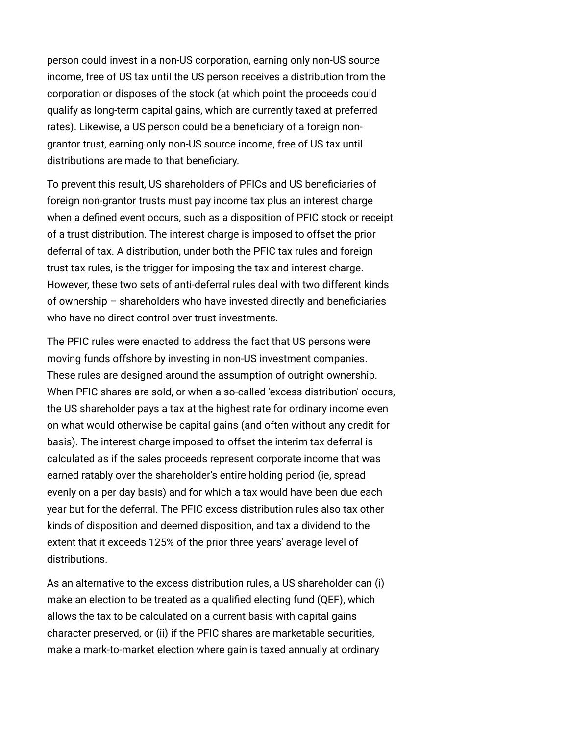person could invest in a non-US corporation, earning only non-US source income, free of US tax until the US person receives a distribution from the corporation or disposes of the stock (at which point the proceeds could qualify as long-term capital gains, which are currently taxed at preferred rates). Likewise, a US person could be a beneficiary of a foreign nongrantor trust, earning only non-US source income, free of US tax until distributions are made to that beneficiary.

To prevent this result, US shareholders of PFICs and US beneficiaries of foreign non-grantor trusts must pay income tax plus an interest charge when a defined event occurs, such as a disposition of PFIC stock or receipt of a trust distribution. The interest charge is imposed to offset the prior deferral of tax. A distribution, under both the PFIC tax rules and foreign trust tax rules, is the trigger for imposing the tax and interest charge. However, these two sets of anti-deferral rules deal with two different kinds of ownership – shareholders who have invested directly and beneficiaries who have no direct control over trust investments.

The PFIC rules were enacted to address the fact that US persons were moving funds offshore by investing in non-US investment companies. These rules are designed around the assumption of outright ownership. When PFIC shares are sold, or when a so-called 'excess distribution' occurs, the US shareholder pays a tax at the highest rate for ordinary income even on what would otherwise be capital gains (and often without any credit for basis). The interest charge imposed to offset the interim tax deferral is calculated as if the sales proceeds represent corporate income that was earned ratably over the shareholder's entire holding period (ie, spread evenly on a per day basis) and for which a tax would have been due each year but for the deferral. The PFIC excess distribution rules also tax other kinds of disposition and deemed disposition, and tax a dividend to the extent that it exceeds 125% of the prior three years' average level of distributions.

As an alternative to the excess distribution rules, a US shareholder can (i) make an election to be treated as a qualified electing fund (QEF), which allows the tax to be calculated on a current basis with capital gains character preserved, or (ii) if the PFIC shares are marketable securities, make a mark-to-market election where gain is taxed annually at ordinary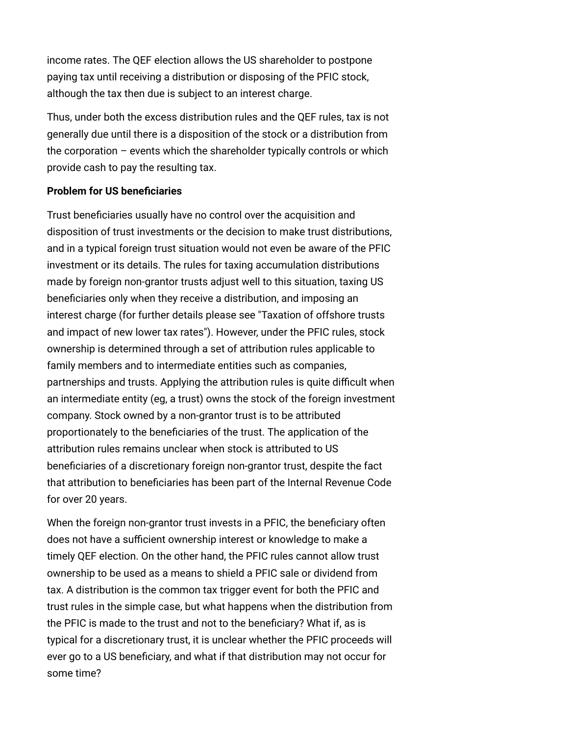income rates. The QEF election allows the US shareholder to postpone paying tax until receiving a distribution or disposing of the PFIC stock, although the tax then due is subject to an interest charge.

Thus, under both the excess distribution rules and the QEF rules, tax is not generally due until there is a disposition of the stock or a distribution from the corporation – events which the shareholder typically controls or which provide cash to pay the resulting tax.

## <span id="page-3-0"></span>**Problem for US beneficiaries**

Trust beneficiaries usually have no control over the acquisition and disposition of trust investments or the decision to make trust distributions, and in a typical foreign trust situation would not even be aware of the PFIC investment or its details. The rules for taxing accumulation distributions made by foreign non-grantor trusts adjust well to this situation, taxing US beneficiaries only when they receive a distribution, and imposing an [interest charge \(for further details please see "Taxation of offshore trusts](http://www.internationallawoffice.com/Newsletters/detail.aspx?g=fa09696c-86d8-4011-bfb3-ba66bf73c584) and impact of new lower tax rates"). However, under the PFIC rules, stock ownership is determined through a set of attribution rules applicable to family members and to intermediate entities such as companies, partnerships and trusts. Applying the attribution rules is quite difficult when an intermediate entity (eg, a trust) owns the stock of the foreign investment company. Stock owned by a non-grantor trust is to be attributed proportionately to the beneficiaries of the trust. The application of the attribution rules remains unclear when stock is attributed to US beneficiaries of a discretionary foreign non-grantor trust, despite the fact that attribution to beneficiaries has been part of the Internal Revenue Code for over 20 years.

When the foreign non-grantor trust invests in a PFIC, the beneficiary often does not have a sufficient ownership interest or knowledge to make a timely QEF election. On the other hand, the PFIC rules cannot allow trust ownership to be used as a means to shield a PFIC sale or dividend from tax. A distribution is the common tax trigger event for both the PFIC and trust rules in the simple case, but what happens when the distribution from the PFIC is made to the trust and not to the beneficiary? What if, as is typical for a discretionary trust, it is unclear whether the PFIC proceeds will ever go to a US beneficiary, and what if that distribution may not occur for some time?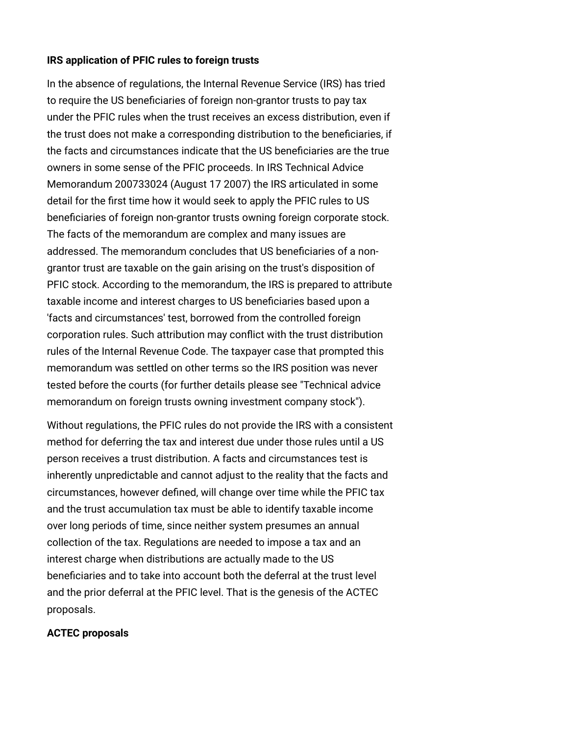# <span id="page-4-0"></span>**IRS application of PFIC rules to foreign trusts**

In the absence of regulations, the Internal Revenue Service (IRS) has tried to require the US beneficiaries of foreign non-grantor trusts to pay tax under the PFIC rules when the trust receives an excess distribution, even if the trust does not make a corresponding distribution to the beneficiaries, if the facts and circumstances indicate that the US beneficiaries are the true owners in some sense of the PFIC proceeds. In IRS Technical Advice Memorandum 200733024 (August 17 2007) the IRS articulated in some detail for the first time how it would seek to apply the PFIC rules to US beneficiaries of foreign non-grantor trusts owning foreign corporate stock. The facts of the memorandum are complex and many issues are addressed. The memorandum concludes that US beneficiaries of a nongrantor trust are taxable on the gain arising on the trust's disposition of PFIC stock. According to the memorandum, the IRS is prepared to attribute taxable income and interest charges to US beneficiaries based upon a 'facts and circumstances' test, borrowed from the controlled foreign corporation rules. Such attribution may conflict with the trust distribution rules of the Internal Revenue Code. The taxpayer case that prompted this memorandum was settled on other terms so the IRS position was never [tested before the courts \(for further details please see "Technical advice](http://www.internationallawoffice.com/Newsletters/Detail.aspx?r=16328) memorandum on foreign trusts owning investment company stock").

Without regulations, the PFIC rules do not provide the IRS with a consistent method for deferring the tax and interest due under those rules until a US person receives a trust distribution. A facts and circumstances test is inherently unpredictable and cannot adjust to the reality that the facts and circumstances, however defined, will change over time while the PFIC tax and the trust accumulation tax must be able to identify taxable income over long periods of time, since neither system presumes an annual collection of the tax. Regulations are needed to impose a tax and an interest charge when distributions are actually made to the US beneficiaries and to take into account both the deferral at the trust level and the prior deferral at the PFIC level. That is the genesis of the ACTEC proposals.

## <span id="page-4-1"></span>**ACTEC proposals**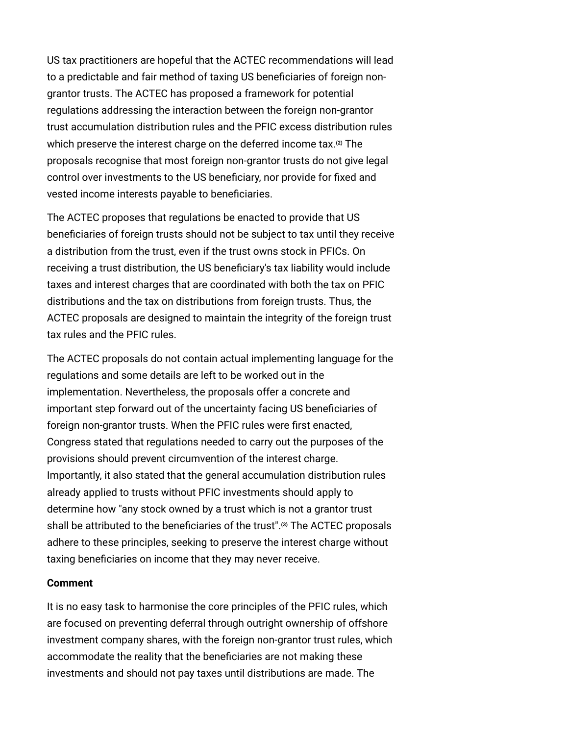US tax practitioners are hopeful that the ACTEC recommendations will lead to a predictable and fair method of taxing US beneficiaries of foreign nongrantor trusts. The ACTEC has proposed a framework for potential regulations addressing the interaction between the foreign non-grantor trust accumulation distribution rules and the PFIC excess distribution rules which preserve the interest charge on the deferred income tax.**[\(2\)](#page-6-1)** The proposals recognise that most foreign non-grantor trusts do not give legal control over investments to the US beneficiary, nor provide for fixed and vested income interests payable to beneficiaries.

The ACTEC proposes that regulations be enacted to provide that US beneficiaries of foreign trusts should not be subject to tax until they receive a distribution from the trust, even if the trust owns stock in PFICs. On receiving a trust distribution, the US beneficiary's tax liability would include taxes and interest charges that are coordinated with both the tax on PFIC distributions and the tax on distributions from foreign trusts. Thus, the ACTEC proposals are designed to maintain the integrity of the foreign trust tax rules and the PFIC rules.

The ACTEC proposals do not contain actual implementing language for the regulations and some details are left to be worked out in the implementation. Nevertheless, the proposals offer a concrete and important step forward out of the uncertainty facing US beneficiaries of foreign non-grantor trusts. When the PFIC rules were first enacted, Congress stated that regulations needed to carry out the purposes of the provisions should prevent circumvention of the interest charge. Importantly, it also stated that the general accumulation distribution rules already applied to trusts without PFIC investments should apply to determine how "any stock owned by a trust which is not a grantor trust shall be attributed to the beneficiaries of the trust".**[\(3\)](#page-6-2)** The ACTEC proposals adhere to these principles, seeking to preserve the interest charge without taxing beneficiaries on income that they may never receive.

#### <span id="page-5-0"></span>**Comment**

It is no easy task to harmonise the core principles of the PFIC rules, which are focused on preventing deferral through outright ownership of offshore investment company shares, with the foreign non-grantor trust rules, which accommodate the reality that the beneficiaries are not making these investments and should not pay taxes until distributions are made. The